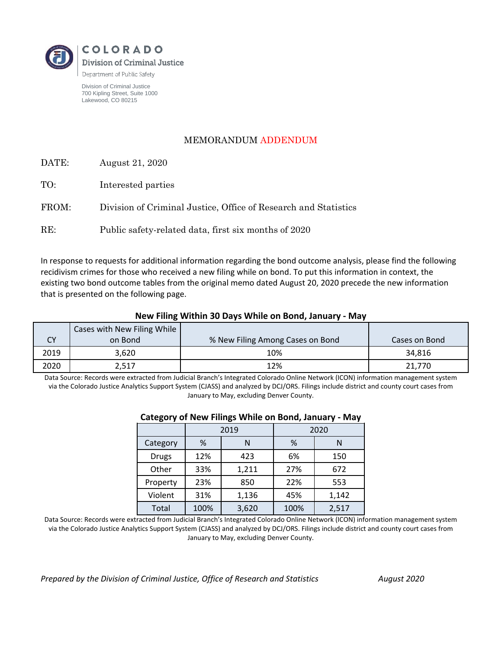

Division of Criminal Justice 700 Kipling Street, Suite 1000 Lakewood, CO 80215

## MEMORANDUM ADDENDUM

| DATE: | August 21, 2020 |  |
|-------|-----------------|--|
|-------|-----------------|--|

| TO: | Interested parties |  |
|-----|--------------------|--|
|-----|--------------------|--|

FROM: Division of Criminal Justice, Office of Research and Statistics

RE: Public safety-related data, first six months of 2020

In response to requests for additional information regarding the bond outcome analysis, please find the following recidivism crimes for those who received a new filing while on bond. To put this information in context, the existing two bond outcome tables from the original memo dated August 20, 2020 precede the new information that is presented on the following page.

## **New Filing Within 30 Days While on Bond, January - May**

|      | Cases with New Filing While |                                  |               |
|------|-----------------------------|----------------------------------|---------------|
| CY   | on Bond                     | % New Filing Among Cases on Bond | Cases on Bond |
| 2019 | 3.620                       | 10%                              | 34.816        |
| 2020 | 2,517                       | 12%                              | 21,770        |

Data Source: Records were extracted from Judicial Branch's Integrated Colorado Online Network (ICON) information management system via the Colorado Justice Analytics Support System (CJASS) and analyzed by DCJ/ORS. Filings include district and county court cases from January to May, excluding Denver County.

| -        | -    |       |      |       |
|----------|------|-------|------|-------|
|          | 2019 |       | 2020 |       |
| Category | %    | Ν     | %    | N     |
| Drugs    | 12%  | 423   | 6%   | 150   |
| Other    | 33%  | 1,211 | 27%  | 672   |
| Property | 23%  | 850   | 22%  | 553   |
| Violent  | 31%  | 1,136 | 45%  | 1,142 |
| Total    | 100% | 3,620 | 100% | 2,517 |

## **Category of New Filings While on Bond, January - May**

Data Source: Records were extracted from Judicial Branch's Integrated Colorado Online Network (ICON) information management system via the Colorado Justice Analytics Support System (CJASS) and analyzed by DCJ/ORS. Filings include district and county court cases from January to May, excluding Denver County.

*Prepared by the Division of Criminal Justice, Office of Research and Statistics August 2020*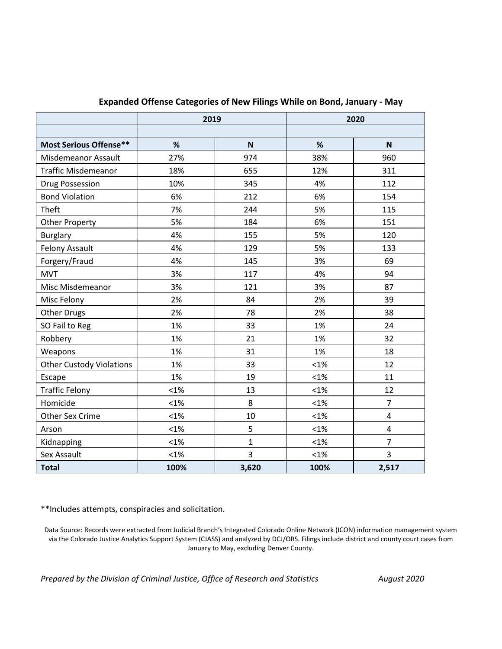|                                 | 2019    |              | 2020    |                |
|---------------------------------|---------|--------------|---------|----------------|
|                                 |         |              |         |                |
| <b>Most Serious Offense**</b>   | %       | $\mathbf N$  | %       | N              |
| Misdemeanor Assault             | 27%     | 974          | 38%     | 960            |
| <b>Traffic Misdemeanor</b>      | 18%     | 655          | 12%     | 311            |
| <b>Drug Possession</b>          | 10%     | 345          | 4%      | 112            |
| <b>Bond Violation</b>           | 6%      | 212          | 6%      | 154            |
| Theft                           | 7%      | 244          | 5%      | 115            |
| <b>Other Property</b>           | 5%      | 184          | 6%      | 151            |
| <b>Burglary</b>                 | 4%      | 155          | 5%      | 120            |
| <b>Felony Assault</b>           | 4%      | 129          | 5%      | 133            |
| Forgery/Fraud                   | 4%      | 145          | 3%      | 69             |
| <b>MVT</b>                      | 3%      | 117          | 4%      | 94             |
| Misc Misdemeanor                | 3%      | 121          | 3%      | 87             |
| Misc Felony                     | 2%      | 84           | 2%      | 39             |
| <b>Other Drugs</b>              | 2%      | 78           | 2%      | 38             |
| SO Fail to Reg                  | 1%      | 33           | 1%      | 24             |
| Robbery                         | 1%      | 21           | 1%      | 32             |
| Weapons                         | 1%      | 31           | 1%      | 18             |
| <b>Other Custody Violations</b> | 1%      | 33           | $< 1\%$ | 12             |
| Escape                          | 1%      | 19           | $< 1\%$ | 11             |
| <b>Traffic Felony</b>           | $< 1\%$ | 13           | $< 1\%$ | 12             |
| Homicide                        | $< 1\%$ | 8            | $< 1\%$ | $\overline{7}$ |
| Other Sex Crime                 | $< 1\%$ | 10           | $< 1\%$ | 4              |
| Arson                           | $< 1\%$ | 5            | $< 1\%$ | $\overline{4}$ |
| Kidnapping                      | $< 1\%$ | $\mathbf{1}$ | $< 1\%$ | $\overline{7}$ |
| Sex Assault                     | $< 1\%$ | 3            | $< 1\%$ | 3              |
| <b>Total</b>                    | 100%    | 3,620        | 100%    | 2,517          |

## **Expanded Offense Categories of New Filings While on Bond, January - May**

\*\*Includes attempts, conspiracies and solicitation.

Data Source: Records were extracted from Judicial Branch's Integrated Colorado Online Network (ICON) information management system via the Colorado Justice Analytics Support System (CJASS) and analyzed by DCJ/ORS. Filings include district and county court cases from January to May, excluding Denver County.

*Prepared by the Division of Criminal Justice, Office of Research and Statistics August 2020*